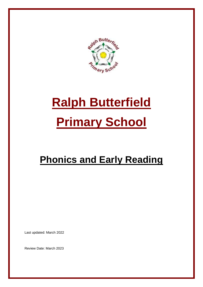

# **Ralph Butterfield Primary School**

## **Phonics and Early Reading**

Last updated: March 2022

Review Date: March 2023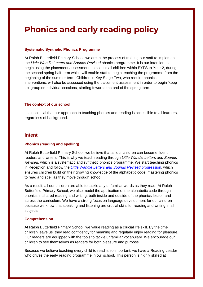### **Phonics and early reading policy**

#### **Systematic Synthetic Phonics Programme**

At Ralph Butterfield Primary School, we are in the process of training our staff to implement the *Little Wandle Letters and Sounds Revised* phonics programme. It is our intention to begin using the placement assessment, to assess all children within EYFS to Year 2, during the second spring half-term which will enable staff to begin teaching the programme from the beginning of the summer term. Children in Key Stage Two, who require phonics interventions, will also be assessed using the placement assessment in order to begin 'keepup' group or individual sessions, starting towards the end of the spring term.

#### **The context of our school**

It is essential that our approach to teaching phonics and reading is accessible to all learners, regardless of background.

#### **Intent**

#### **Phonics (reading and spelling)**

At Ralph Butterfield Primary School, we believe that all our children can become fluent readers and writers. This is why we teach reading through *Little Wandle Letters and Sounds Revised*, which is a systematic and synthetic phonics programme. We start teaching phonics in Reception and follow the *[Little Wandle Letters and Sounds Revised](https://www.littlewandlelettersandsounds.org.uk/wp-content/uploads/2021/06/Programme-Overview_Reception-and-Year-1.pdf)* progression, which ensures children build on their growing knowledge of the alphabetic code, mastering phonics to read and spell as they move through school.

As a result, all our children are able to tackle any unfamiliar words as they read. At Ralph Butterfield Primary School, we also model the application of the alphabetic code through phonics in shared reading and writing, both inside and outside of the phonics lesson and across the curriculum. We have a strong focus on language development for our children because we know that speaking and listening are crucial skills for reading and writing in all subjects.

#### **Comprehension**

At Ralph Butterfield Primary School, we value reading as a crucial life skill. By the time children leave us, they read confidently for meaning and regularly enjoy reading for pleasure. Our readers are equipped with the tools to tackle unfamiliar vocabulary. We encourage our children to see themselves as readers for both pleasure and purpose.

Because we believe teaching every child to read is so important, we have a Reading Leader who drives the early reading programme in our school. This person is highly skilled at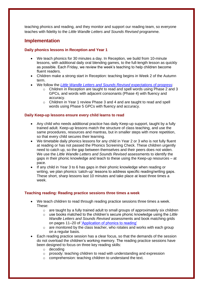teaching phonics and reading, and they monitor and support our reading team, so everyone teaches with fidelity to the *Little Wandle Letters and Sounds Revised* programme.

#### **Implementation**

#### **Daily phonics lessons in Reception and Year 1**

- We teach phonics for 30 minutes a day. In Reception, we build from 10-minute lessons, with additional daily oral blending games, to the full-length lesson as quickly as possible. Each Friday, we review the week's teaching to help children become fluent readers.
- Children make a strong start in Reception: teaching begins in Week 2 of the Autumn term.
- We follow the *[Little Wandle Letters and Sounds Revised](https://www.littlewandlelettersandsounds.org.uk/wp-content/uploads/2021/06/Programme-Overview_Reception-and-Year-1.pdf)* expectations of progress:
	- $\circ$  Children in Reception are taught to read and spell words using Phase 2 and 3 GPCs, and words with adjacent consonants (Phase 4) with fluency and accuracy.
	- $\circ$  Children in Year 1 review Phase 3 and 4 and are taught to read and spell words using Phase 5 GPCs with fluency and accuracy.

#### **Daily Keep-up lessons ensure every child learns to read**

- Any child who needs additional practice has daily Keep-up support, taught by a fully trained adult. Keep-up lessons match the structure of class teaching, and use the same procedures, resources and mantras, but in smaller steps with more repetition, so that every child secures their learning.
- We timetable daily phonics lessons for any child in Year 2 or 3 who is not fully fluent at reading or has not passed the Phonics Screening Check. These children urgently need to catch up, so the gap between themselves and their peers does not widen. We use the *Little Wandle Letters and Sounds Revised* assessments to identify the gaps in their phonic knowledge and teach to these using the Keep-up resources – at pace.
- If any child in Year 3 to 6 has gaps in their phonic knowledge when reading or writing, we plan phonics 'catch-up' lessons to address specific reading/writing gaps. These short, sharp lessons last 10 minutes and take place at least three times a week.

#### **Teaching reading: Reading practice sessions three times a week**

- We teach children to read through reading practice sessions three times a week. These:
	- $\circ$  are taught by a fully trained adult to small groups of approximately six children
	- o use books matched to the children's secure phonic knowledge using the *Little Wandle Letters and Sounds Revised* assessments and book matching grids on pages 11–20 of ['Application of phonics to reading'](https://www.littlewandlelettersandsounds.org.uk/wp-content/uploads/2021/03/LS-KEY-GUIDANCE-APPLICATION-OF-PHONICS-FINAL-1.pdf)
	- $\circ$  are monitored by the class teacher, who rotates and works with each group on a regular basis.
- Each reading practice session has a clear focus, so that the demands of the session do not overload the children's working memory. The reading practice sessions have been designed to focus on three key reading skills:
	- o decoding
	- $\circ$  prosody: teaching children to read with understanding and expression
	- o comprehension: teaching children to understand the text.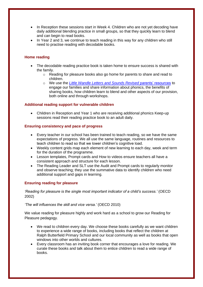- In Reception these sessions start in Week 4. Children who are not yet decoding have daily additional blending practice in small groups, so that they quickly learn to blend and can begin to read books.
- In Year 2 and 3, we continue to teach reading in this way for any children who still need to practise reading with decodable books.

#### **Home reading**

- The decodable reading practice book is taken home to ensure success is shared with the family.
	- $\circ$  Reading for pleasure books also go home for parents to share and read to children.
	- o We use the *[Little Wandle Letters and Sounds Revised](https://www.littlewandlelettersandsounds.org.uk/resources/for-parents/)* parents' resources to engage our families and share information about phonics, the benefits of sharing books, how children learn to blend and other aspects of our provision, both online and through workshops.

#### **Additional reading support for vulnerable children**

• Children in Reception and Year 1 who are receiving additional phonics Keep-up sessions read their reading practice book to an adult daily.

#### **Ensuring consistency and pace of progress**

- Every teacher in our school has been trained to teach reading, so we have the same expectations of progress. We all use the same language, routines and resources to teach children to read so that we lower children's cognitive load.
- Weekly content grids map each element of new learning to each day, week and term for the duration of the programme.
- Lesson templates, Prompt cards and How to videos ensure teachers all have a consistent approach and structure for each lesson.
- The Reading Leader and SLT use the Audit and Prompt cards to regularly monitor and observe teaching; they use the summative data to identify children who need additional support and gaps in learning.

#### **Ensuring reading for pleasure**

*'Reading for pleasure is the single most important indicator of a child's success.'* (OECD 2002)

*'The will influences the skill and vice versa.'* (OECD 2010)

We value reading for pleasure highly and work hard as a school to grow our Reading for Pleasure pedagogy.

- We read to children every day. We choose these books carefully as we want children to experience a wide range of books, including books that reflect the children at Ralph Butterfield Primary School and our local community as well as books that open windows into other worlds and cultures.
- Every classroom has an inviting book corner that encourages a love for reading. We curate these books and talk about them to entice children to read a wide range of books.